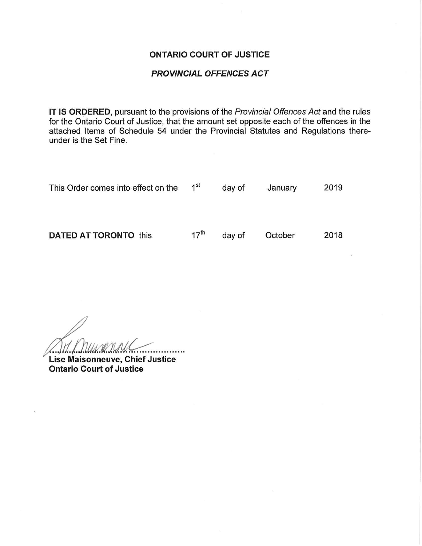#### ONTARIO COURT OF JUSTICE

### PROVINCIAL OFFENCES ACT

IT IS ORDERED, pursuant to the provisions of the Provincial Offences Act and the rules for the Ontario Court of Justice, that the amount set opposite each of the offences in the attached Items of Schedule 54 under the Provincial Statutes and Regulations thereunder is the Set Fine.

| This Order comes into effect on the | 1 <sup>st</sup>  | day of | January | 2019 |
|-------------------------------------|------------------|--------|---------|------|
| <b>DATED AT TORONTO this</b>        | $17^{\text{th}}$ | day of | October | 2018 |

Lise Maisonneuve, Chief Justice Ontario Court of Justice